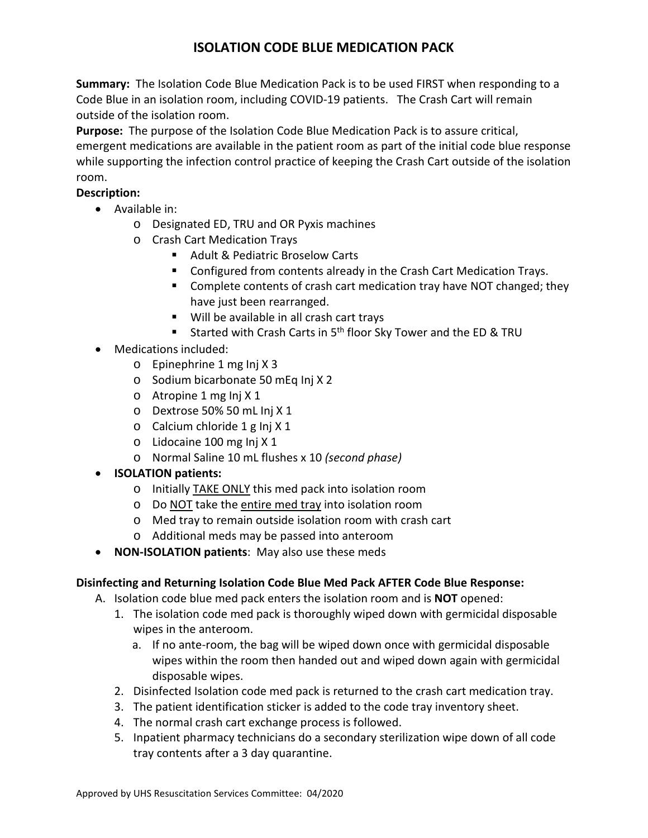## **ISOLATION CODE BLUE MEDICATION PACK**

 **Summary:** The Isolation Code Blue Medication Pack is to be used FIRST when responding to a Code Blue in an isolation room, including COVID-19 patients. The Crash Cart will remain outside of the isolation room.

 **Purpose:** The purpose of the Isolation Code Blue Medication Pack is to assure critical, while supporting the infection control practice of keeping the Crash Cart outside of the isolation emergent medications are available in the patient room as part of the initial code blue response room.

## **Description:**

- Available in:
	- o Designated ED, TRU and OR Pyxis machines
	- o Crash Cart Medication Trays
		- Adult & Pediatric Broselow Carts
		- **Configured from contents already in the Crash Cart Medication Trays.**
		- Complete contents of crash cart medication tray have NOT changed; they have just been rearranged.
		- Will be available in all crash cart trays
		- Started with Crash Carts in  $5<sup>th</sup>$  floor Sky Tower and the ED & TRU
- Medications included:
	- o Epinephrine 1 mg Inj X 3
	- o Sodium bicarbonate 50 mEq Inj X 2
	- o Atropine 1 mg Inj X 1
	- o Dextrose 50% 50 mL Inj X 1
	- o Calcium chloride 1 g Inj X 1
	- o Lidocaine 100 mg Inj X 1
	- o Normal Saline 10 mL flushes x 10 *(second phase)*
- **ISOLATION patients:** 
	- o Initially TAKE ONLY this med pack into isolation room
	- o Do NOT take the entire med tray into isolation room
	- o Med tray to remain outside isolation room with crash cart
	- o Additional meds may be passed into anteroom
- **NON-ISOLATION patients**: May also use these meds

## **Disinfecting and Returning Isolation Code Blue Med Pack AFTER Code Blue Response:**

- A. Isolation code blue med pack enters the isolation room and is **NOT** opened:
	- wipes in the anteroom. 1. The isolation code med pack is thoroughly wiped down with germicidal disposable
		- a. If no ante-room, the bag will be wiped down once with germicidal disposable wipes within the room then handed out and wiped down again with germicidal disposable wipes.
	- 2. Disinfected Isolation code med pack is returned to the crash cart medication tray.
	- 3. The patient identification sticker is added to the code tray inventory sheet.
	- 4. The normal crash cart exchange process is followed.
	- 5. Inpatient pharmacy technicians do a secondary sterilization wipe down of all code tray contents after a 3 day quarantine.